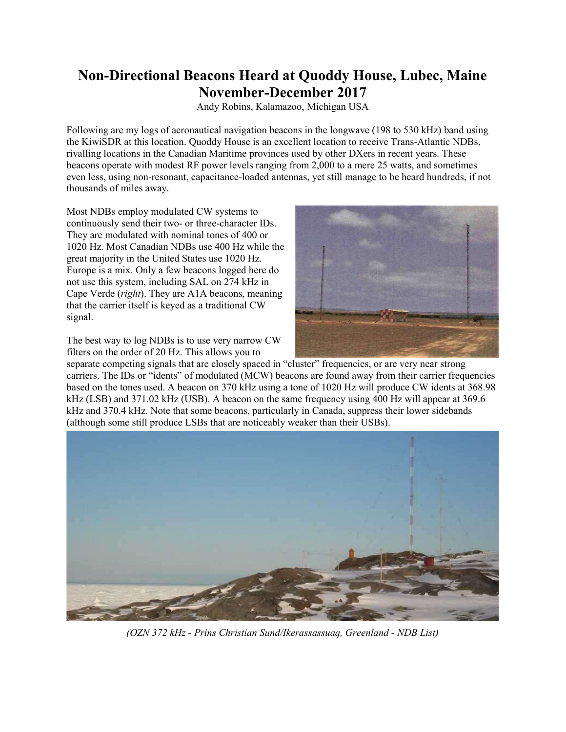## Non-Directional Beacons Heard at Quoddy House, Lubec, Maine November-December 2017

Andy Robins, Kalamazoo, Michigan USA

Following are my logs of aeronautical navigation beacons in the longwave (198 to 530 kHz) band using the KiwiSDR at this location. Quoddy House is an excellent location to receive Trans-Atlantic NDBs, rivalling locations in the Canadian Maritime provinces used by other DXers in recent years. These beacons operate with modest RF power levels ranging from 2,000 to a mere 25 watts, and sometimes even less, using non-resonant, capacitance-loaded antennas, yet still manage to be heard hundreds, if not thousands of miles away.

Most NDBs employ modulated CW systems to continuously send their two- or three-character IDs. They are modulated with nominal tones of 400 or 1020 Hz. Most Canadian NDBs use 400 Hz while the great majority in the United States use 1020 Hz. Europe is a mix. Only a few beacons logged here do not use this system, including SAL on 274 kHz in Cape Verde (right). They are A1A beacons, meaning that the carrier itself is keyed as a traditional CW signal.

The best way to log NDBs is to use very narrow CW filters on the order of 20 Hz. This allows you to



separate competing signals that are closely spaced in "cluster" frequencies, or are very near strong carriers. The IDs or "idents" of modulated (MCW) beacons are found away from their carrier frequencies based on the tones used. A beacon on 370 kHz using a tone of 1020 Hz will produce CW idents at 368.98 kHz (LSB) and 371.02 kHz (USB). A beacon on the same frequency using 400 Hz will appear at 369.6 kHz and 370.4 kHz. Note that some beacons, particularly in Canada, suppress their lower sidebands (although some still produce LSBs that are noticeably weaker than their USBs).



(OZN 372 kHz - Prins Christian Sund/Ikerassassuaq, Greenland - NDB List)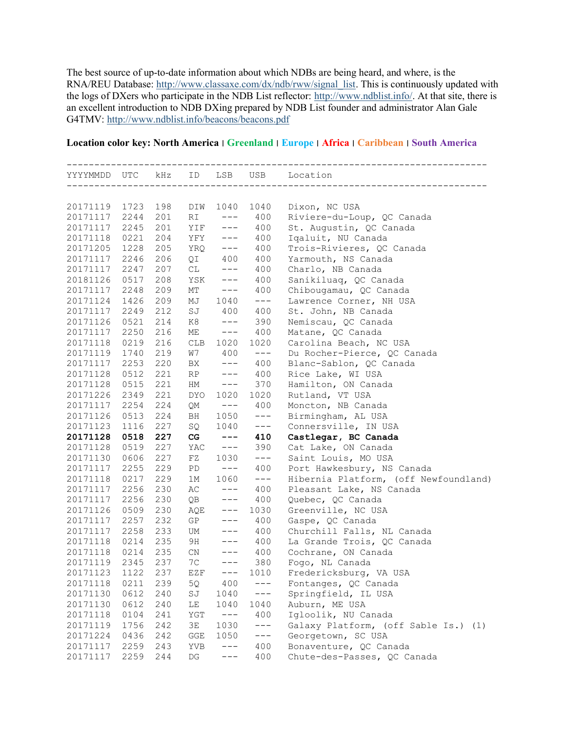The best source of up-to-date information about which NDBs are being heard, and where, is the RNA/REU Database: http://www.classaxe.com/dx/ndb/rww/signal\_list. This is continuously updated with the logs of DXers who participate in the NDB List reflector: http://www.ndblist.info/. At that site, there is an excellent introduction to NDB DXing prepared by NDB List founder and administrator Alan Gale G4TMV: http://www.ndblist.info/beacons/beacons.pdf

## Location color key: North America ׀ Greenland ׀ Europe ׀ Africa ׀ Caribbean ׀ South America

|                      |              |            |                        |                     |            | YYYYMMDD UTC kHz ID LSB USB Location     |
|----------------------|--------------|------------|------------------------|---------------------|------------|------------------------------------------|
|                      |              |            |                        |                     |            |                                          |
| 20171119             | 1723         | 198        | DIW                    | 1040                | 1040       | Dixon, NC USA                            |
| 20171117             | 2244         | 201        | RI                     | $---$               | 400        | Riviere-du-Loup, QC Canada               |
| 20171117             | 2245         | 201        | YIF                    | $---$               | 400        | St. Augustin, QC Canada                  |
| 20171118             | 0221         | 204        | YFY                    | $---$               | 400        | Iqaluit, NU Canada                       |
| 20171205             | 1228         | 205        | YRQ                    | $---$               | 400        | Trois-Rivieres, QC Canada                |
| 20171117             | 2246         | 206        |                        | $QI$ 400            | 400        | Yarmouth, NS Canada                      |
| 20171117             | 2247         | 207        | CL                     | $---$               | 400        | Charlo, NB Canada                        |
| 20181126             | 0517         | 208        | YSK                    | $---$               | 400        | Sanikiluaq, QC Canada                    |
| 20171117             | 2248         | 209        | МT                     | $---$               | 400        | Chibougamau, QC Canada                   |
| 20171124             | 1426         | 209        | MJ                     | 1040                | $--\,$     | Lawrence Corner, NH USA                  |
| 20171117             | 2249         | 212        | SJ                     | 400                 | 400        | St. John, NB Canada                      |
| 20171126             | 0521         | 214        | K8                     | $---$               | 390        | Nemiscau, QC Canada                      |
| 20171117             | 2250         | 216        | ME                     | $---$               | 400        | Matane, QC Canada                        |
| 20171118             | 0219         | 216        |                        | CLB 1020            | 1020       | Carolina Beach, NC USA                   |
| 20171119             | 1740         | 219        | W7                     | 400<br>$---$        | $--\,$     | Du Rocher-Pierce, QC Canada              |
| 20171117             | 2253         | 220<br>221 | BX                     | $---$               | 400        | Blanc-Sablon, QC Canada                  |
| 20171128<br>20171128 | 0512<br>0515 | 221        | RP<br>HM               | $---$               | 400<br>370 | Rice Lake, WI USA<br>Hamilton, ON Canada |
| 20171226             | 2349         | 221        | DYO                    | 1020                | 1020       | Rutland, VT USA                          |
| 20171117             | 2254         | 224        | QΜ                     | $---$               | 400        | Moncton, NB Canada                       |
| 20171126             | 0513         | 224        | BH                     | 1050                | $---$      | Birmingham, AL USA                       |
| 20171123             | 1116         | 227        | SQ                     | 1040                | $---$      | Connersville, IN USA                     |
| 20171128             | 0518         | 227        | CG                     | $\qquad \qquad - -$ | 410        | Castlegar, BC Canada                     |
| 20171128             | 0519         | 227        | YAC                    | $---$               | 390        | Cat Lake, ON Canada                      |
| 20171130             | 0606         | 227        | FZ                     | 1030                | $--\,$     | Saint Louis, MO USA                      |
| 20171117             | 2255         | 229        | PD                     | $---$               | 400        | Port Hawkesbury, NS Canada               |
| 20171118             | 0217         | 229        | 1M                     | 1060                | $---$      | Hibernia Platform, (off Newfoundland)    |
| 20171117             | 2256         | 230        | АC                     | $---$               | 400        | Pleasant Lake, NS Canada                 |
| 20171117             | 2256         | 230        | QΒ                     | $---$               | 400        | Quebec, QC Canada                        |
| 20171126             | 0509         | 230        | AQE                    | $---$               | 1030       | Greenville, NC USA                       |
| 20171117             | 2257         | 232        | GP                     | $---$               | 400        | Gaspe, QC Canada                         |
| 20171117             | 2258         | 233        | UM                     | $---$               | 400        | Churchill Falls, NL Canada               |
| 20171118             | 0214         | 235        | 9H                     |                     | $--- 400$  | La Grande Trois, QC Canada               |
| 20171118             | 0214         | 235        | CN                     |                     | $--- 400$  | Cochrane, ON Canada                      |
| 20171119             | 2345         | 237        | 7C                     | $---$               | 380        | Fogo, NL Canada                          |
| 20171123 1122        |              | 237        |                        | $EZF$ $---$         | 1010       | Fredericksburg, VA USA                   |
| 20171118             | 0211         | 239        | 5Q                     | 400                 | $---$      | Fontanges, QC Canada                     |
| 20171130             | 0612         | 240        | $\mathbb{S}\mathbb{J}$ | 1040                | $---$      | Springfield, IL USA                      |
| 20171130             | 0612         | 240        | LE                     | 1040                | 1040       | Auburn, ME USA                           |
| 20171118             | 0104         | 241        | YGT                    | $---$               | 400        | Igloolik, NU Canada                      |
| 20171119             | 1756         | 242        | 3E                     | 1030                | $---$      | Galaxy Platform, (off Sable Is.)<br>(1)  |
| 20171224             | 0436         | 242        | GGE                    | 1050                | $---$      | Georgetown, SC USA                       |
| 20171117             | 2259         | 243        | YVB                    | $---$               | 400        | Bonaventure, QC Canada                   |
| 20171117             | 2259         | 244        | DG                     |                     | 400        | Chute-des-Passes, QC Canada              |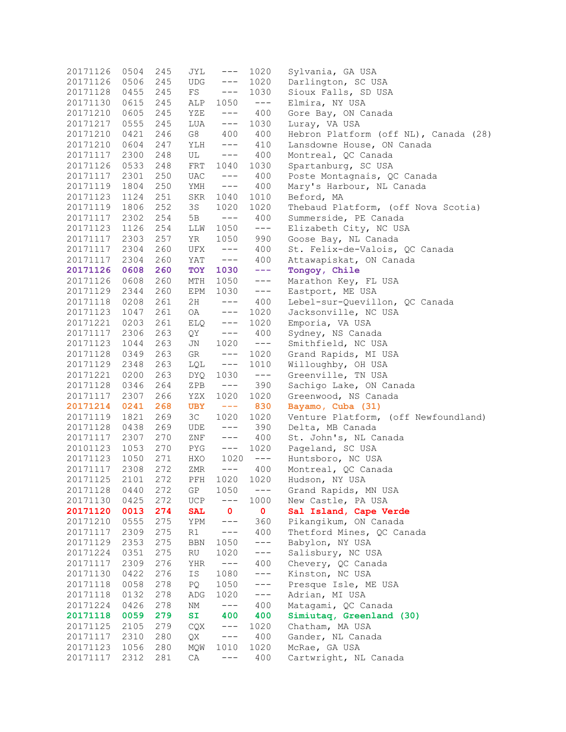| 20171126 | 0504 | 245 | JYL            | $---$         | 1020         | Sylvania, GA USA                      |
|----------|------|-----|----------------|---------------|--------------|---------------------------------------|
| 20171126 | 0506 | 245 | UDG            | $---$         | 1020         | Darlington, SC USA                    |
| 20171128 | 0455 | 245 | FS             | $---$         | 1030         | Sioux Falls, SD USA                   |
| 20171130 | 0615 | 245 | ALP            | 1050          | $---$        | Elmira, NY USA                        |
| 20171210 | 0605 | 245 | YZE            | $--\,$        | 400          | Gore Bay, ON Canada                   |
| 20171217 | 0555 | 245 | LUA            | $---$         | 1030         | Luray, VA USA                         |
| 20171210 | 0421 | 246 | G8             | 400           | 400          | Hebron Platform (off NL), Canada (28) |
| 20171210 | 0604 | 247 | YLH            | $---$         | 410          | Lansdowne House, ON Canada            |
| 20171117 | 2300 | 248 | UL             | $---$         | 400          | Montreal, QC Canada                   |
| 20171126 | 0533 | 248 | FRT            | 1040          | 1030         | Spartanburg, SC USA                   |
| 20171117 | 2301 | 250 | UAC            | $--\,$        | 400          | Poste Montagnais, QC Canada           |
| 20171119 | 1804 | 250 | YMH            | $---$         | 400          | Mary's Harbour, NL Canada             |
| 20171123 | 1124 | 251 | SKR            | 1040          | 1010         | Beford, MA                            |
| 20171119 | 1806 | 252 | 3S             | 1020          | 1020         | Thebaud Platform, (off Nova Scotia)   |
| 20171117 | 2302 | 254 | 5 B            | $---$         | 400          | Summerside, PE Canada                 |
| 20171123 | 1126 | 254 | LLW            | 1050          | $---$        | Elizabeth City, NC USA                |
| 20171117 | 2303 | 257 | YR             | 1050          | 990          | Goose Bay, NL Canada                  |
| 20171117 | 2304 | 260 | UFX            | $---$         | 400          | St. Felix-de-Valois, QC Canada        |
| 20171117 | 2304 | 260 | YAT            | $---$         | 400          | Attawapiskat, ON Canada               |
| 20171126 | 0608 | 260 | TOY            | 1030          | $- - -$      | Tongoy, Chile                         |
| 20171126 | 0608 | 260 | MTH            | 1050          | $---$        | Marathon Key, FL USA                  |
| 20171129 | 2344 | 260 | EPM            | 1030          | $--\,$ $-$   | Eastport, ME USA                      |
| 20171118 | 0208 | 261 | 2H             | $---$         | 400          | Lebel-sur-Quevillon, QC Canada        |
| 20171123 | 1047 | 261 | OA             | $---$         | 1020         | Jacksonville, NC USA                  |
| 20171221 | 0203 | 261 | ELQ            | $--\,$        | 1020         | Emporia, VA USA                       |
| 20171117 | 2306 | 263 | QY             | $---$         | 400          | Sydney, NS Canada                     |
| 20171123 | 1044 | 263 | JN             | 1020          | $--\,$       | Smithfield, NC USA                    |
| 20171128 | 0349 | 263 | GR             | $---$         | 1020         | Grand Rapids, MI USA                  |
| 20171129 | 2348 | 263 | LQL            | $---$         | 1010         | Willoughby, OH USA                    |
| 20171221 | 0200 | 263 | DYQ            | 1030          | $--\,$       | Greenville, TN USA                    |
| 20171128 | 0346 | 264 | ZPB            | $---$         | 390          | Sachigo Lake, ON Canada               |
| 20171117 | 2307 | 266 | YZX            | 1020          | 1020         | Greenwood, NS Canada                  |
| 20171214 | 0241 | 268 | <b>UBY</b>     | $\sim$ $  -$  | 830          | Bayamo, Cuba (31)                     |
| 20171119 | 1821 | 269 | 3 <sup>C</sup> | 1020          | 1020         | Venture Platform, (off Newfoundland)  |
| 20171128 | 0438 | 269 | UDE            | $---$         | 390          | Delta, MB Canada                      |
| 20171117 | 2307 | 270 | ZNF            | $---$         | 400          | St. John's, NL Canada                 |
| 20101123 | 1053 | 270 | PYG            | $---$         | 1020         | Pageland, SC USA                      |
| 20171123 | 1050 | 271 | HXO            | 1020          | $---$        | Huntsboro, NC USA                     |
| 20171117 | 2308 | 272 | ZMR            | $-- \_$       | 400          | Montreal, QC Canada                   |
| 20171125 | 2101 | 272 |                | PFH 1020 1020 |              | Hudson, NY USA                        |
| 20171128 | 0440 | 272 | GP             | 1050          | $---$        | Grand Rapids, MN USA                  |
| 20171130 | 0425 | 272 | UCP            | $---$         | 1000         | New Castle, PA USA                    |
| 20171120 | 0013 | 274 | <b>SAL</b>     | $\mathbf{0}$  | $\mathbf{0}$ | Sal Island, Cape Verde                |
| 20171210 | 0555 | 275 | YPM            | $---$         | 360          | Pikangikum, ON Canada                 |
| 20171117 | 2309 | 275 | R1             | $---$         | 400          | Thetford Mines, QC Canada             |
| 20171129 | 2353 | 275 | BBN            | 1050          | $---$        | Babylon, NY USA                       |
| 20171224 | 0351 | 275 | RU             | 1020          | $---$        | Salisbury, NC USA                     |
| 20171117 | 2309 | 276 | YHR            | $---$         | 400          | Chevery, QC Canada                    |
| 20171130 | 0422 | 276 | IS             | 1080          | $---$        | Kinston, NC USA                       |
| 20171118 | 0058 | 278 | PQ             | 1050          | $---$        | Presque Isle, ME USA                  |
| 20171118 | 0132 | 278 | ADG            | 1020          | $---$        | Adrian, MI USA                        |
| 20171224 | 0426 | 278 | ΝM             | $---$         | 400          | Matagami, QC Canada                   |
| 20171118 | 0059 | 279 | <b>SI</b>      | 400           | 400          | Simiutaq, Greenland (30)              |
| 20171125 | 2105 | 279 | CQX            | $---$         | 1020         | Chatham, MA USA                       |
| 20171117 | 2310 | 280 | QX             | $---$         | 400          | Gander, NL Canada                     |
| 20171123 | 1056 | 280 | MQW            | 1010          | 1020         | McRae, GA USA                         |
| 20171117 | 2312 | 281 | СA             | $---$         | 400          | Cartwright, NL Canada                 |
|          |      |     |                |               |              |                                       |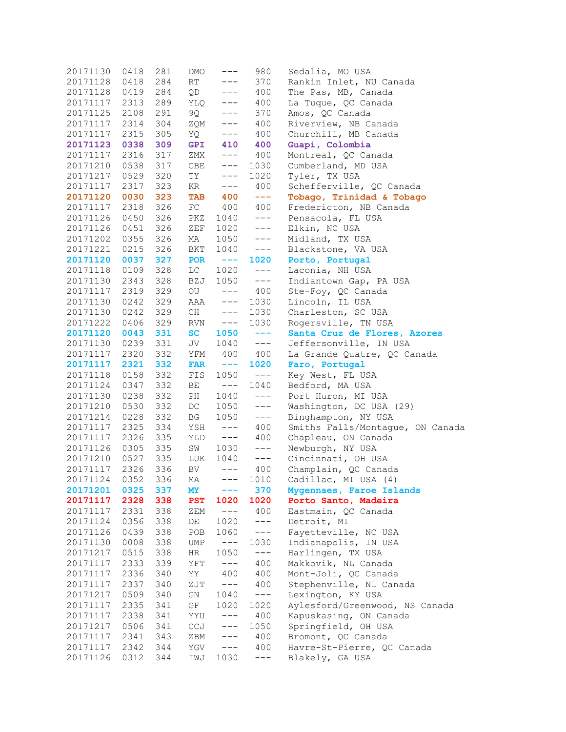| 20171130 | 0418 | 281 | DMO        | $---$                                                                                                                                                                                                                                                                                                                                                                                        | 980                  | Sedalia, MO USA                  |
|----------|------|-----|------------|----------------------------------------------------------------------------------------------------------------------------------------------------------------------------------------------------------------------------------------------------------------------------------------------------------------------------------------------------------------------------------------------|----------------------|----------------------------------|
| 20171128 | 0418 | 284 | RT         | $---$                                                                                                                                                                                                                                                                                                                                                                                        | 370                  | Rankin Inlet, NU Canada          |
| 20171128 | 0419 | 284 | QD         | $---$                                                                                                                                                                                                                                                                                                                                                                                        | 400                  | The Pas, MB, Canada              |
| 20171117 | 2313 | 289 | YLQ        | $---$                                                                                                                                                                                                                                                                                                                                                                                        | 400                  | La Tuque, QC Canada              |
| 20171125 | 2108 | 291 | 9Q.        | $---$                                                                                                                                                                                                                                                                                                                                                                                        | 370                  | Amos, QC Canada                  |
| 20171117 | 2314 | 304 | ZQM        | $---$                                                                                                                                                                                                                                                                                                                                                                                        | 400                  | Riverview, NB Canada             |
| 20171117 | 2315 | 305 | YQ         | $---$                                                                                                                                                                                                                                                                                                                                                                                        | 400                  | Churchill, MB Canada             |
| 20171123 | 0338 | 309 | <b>GPI</b> | 410                                                                                                                                                                                                                                                                                                                                                                                          | 400                  | Guapi, Colombia                  |
| 20171117 | 2316 | 317 | ZMX        | $---$                                                                                                                                                                                                                                                                                                                                                                                        | 400                  | Montreal, QC Canada              |
| 20171210 | 0538 | 317 | CBE        | $---$                                                                                                                                                                                                                                                                                                                                                                                        | 1030                 | Cumberland, MD USA               |
| 20171217 | 0529 | 320 | TY         | $---$                                                                                                                                                                                                                                                                                                                                                                                        | 1020                 | Tyler, TX USA                    |
| 20171117 | 2317 | 323 | KR         | $---$                                                                                                                                                                                                                                                                                                                                                                                        | 400                  | Schefferville, QC Canada         |
| 20171120 | 0030 | 323 | <b>TAB</b> | 400                                                                                                                                                                                                                                                                                                                                                                                          | $\sim$ $\sim$ $\sim$ | Tobago, Trinidad & Tobago        |
| 20171117 | 2318 | 326 | FC         | 400                                                                                                                                                                                                                                                                                                                                                                                          | 400                  | Fredericton, NB Canada           |
| 20171126 | 0450 | 326 | PKZ        | 1040                                                                                                                                                                                                                                                                                                                                                                                         | $---$                | Pensacola, FL USA                |
| 20171126 | 0451 | 326 | ZEF        | 1020                                                                                                                                                                                                                                                                                                                                                                                         | $---$                | Elkin, NC USA                    |
| 20171202 | 0355 | 326 | MA         | 1050                                                                                                                                                                                                                                                                                                                                                                                         | $---$                | Midland, TX USA                  |
|          |      |     |            | 1040                                                                                                                                                                                                                                                                                                                                                                                         |                      |                                  |
| 20171221 | 0215 | 326 | BKT        |                                                                                                                                                                                                                                                                                                                                                                                              | $---$                | Blackstone, VA USA               |
| 20171120 | 0037 | 327 | <b>POR</b> | $- - - -$                                                                                                                                                                                                                                                                                                                                                                                    | 1020                 | Porto, Portugal                  |
| 20171118 | 0109 | 328 | LC         | 1020                                                                                                                                                                                                                                                                                                                                                                                         | $---$                | Laconia, NH USA                  |
| 20171130 | 2343 | 328 | BZJ        | 1050                                                                                                                                                                                                                                                                                                                                                                                         | $---$                | Indiantown Gap, PA USA           |
| 20171117 | 2319 | 329 | OU         | $---$                                                                                                                                                                                                                                                                                                                                                                                        | 400                  | Ste-Foy, QC Canada               |
| 20171130 | 0242 | 329 | AAA        | $---$                                                                                                                                                                                                                                                                                                                                                                                        | 1030                 | Lincoln, IL USA                  |
| 20171130 | 0242 | 329 | CH         | $---$                                                                                                                                                                                                                                                                                                                                                                                        | 1030                 | Charleston, SC USA               |
| 20171222 | 0406 | 329 | RVN        | $--$                                                                                                                                                                                                                                                                                                                                                                                         | 1030                 | Rogersville, TN USA              |
| 20171120 | 0043 | 331 | SC         | 1050                                                                                                                                                                                                                                                                                                                                                                                         | $- - -$              | Santa Cruz de Flores, Azores     |
| 20171130 | 0239 | 331 | JV         | 1040                                                                                                                                                                                                                                                                                                                                                                                         | $---$                | Jeffersonville, IN USA           |
| 20171117 | 2320 | 332 | YFM        | 400                                                                                                                                                                                                                                                                                                                                                                                          | 400                  | La Grande Quatre, QC Canada      |
| 20171117 | 2321 | 332 | <b>FAR</b> | $\frac{1}{2} \frac{1}{2} \frac{1}{2} \frac{1}{2} \frac{1}{2} \frac{1}{2} \frac{1}{2} \frac{1}{2} \frac{1}{2} \frac{1}{2} \frac{1}{2} \frac{1}{2} \frac{1}{2} \frac{1}{2} \frac{1}{2} \frac{1}{2} \frac{1}{2} \frac{1}{2} \frac{1}{2} \frac{1}{2} \frac{1}{2} \frac{1}{2} \frac{1}{2} \frac{1}{2} \frac{1}{2} \frac{1}{2} \frac{1}{2} \frac{1}{2} \frac{1}{2} \frac{1}{2} \frac{1}{2} \frac{$ | 1020                 | Faro, Portugal                   |
| 20171118 | 0158 | 332 | FIS        | 1050                                                                                                                                                                                                                                                                                                                                                                                         | $--\,$               | Key West, FL USA                 |
| 20171124 | 0347 | 332 | ВE         | $---$                                                                                                                                                                                                                                                                                                                                                                                        | 1040                 | Bedford, MA USA                  |
| 20171130 | 0238 | 332 | PH         | 1040                                                                                                                                                                                                                                                                                                                                                                                         | $---$                | Port Huron, MI USA               |
| 20171210 | 0530 | 332 | DC         | 1050                                                                                                                                                                                                                                                                                                                                                                                         | $---$                | Washington, DC USA (29)          |
| 20171214 | 0228 | 332 | BG         | 1050                                                                                                                                                                                                                                                                                                                                                                                         | $---$                | Binghampton, NY USA              |
| 20171117 | 2325 | 334 | YSH        | $---$                                                                                                                                                                                                                                                                                                                                                                                        | 400                  | Smiths Falls/Montaque, ON Canada |
| 20171117 | 2326 | 335 | YLD        | $----$                                                                                                                                                                                                                                                                                                                                                                                       | 400                  | Chapleau, ON Canada              |
| 20171126 | 0305 | 335 | SW         | 1030                                                                                                                                                                                                                                                                                                                                                                                         | $---$                | Newburgh, NY USA                 |
| 20171210 | 0527 | 335 | LUK        | 1040                                                                                                                                                                                                                                                                                                                                                                                         | $---$                | Cincinnati, OH USA               |
| 20171117 | 2326 | 336 | BV.        | $---$                                                                                                                                                                                                                                                                                                                                                                                        | 400                  | Champlain, QC Canada             |
| 20171124 | 0352 | 336 |            |                                                                                                                                                                                                                                                                                                                                                                                              | MA --- 1010          | Cadillac, MI USA (4)             |
| 20171201 | 0325 | 337 | <b>MY</b>  | ---                                                                                                                                                                                                                                                                                                                                                                                          | 370                  | Mygennaes, Faroe Islands         |
| 20171117 | 2328 | 338 | <b>PST</b> | 1020                                                                                                                                                                                                                                                                                                                                                                                         | 1020                 | Porto Santo, Madeira             |
| 20171117 | 2331 | 338 | ZEM        | $---$                                                                                                                                                                                                                                                                                                                                                                                        | 400                  | Eastmain, QC Canada              |
| 20171124 | 0356 | 338 | DE         | 1020                                                                                                                                                                                                                                                                                                                                                                                         | $---$                | Detroit, MI                      |
| 20171126 | 0439 | 338 | POB        | 1060                                                                                                                                                                                                                                                                                                                                                                                         | $---$                | Fayetteville, NC USA             |
| 20171130 | 0008 | 338 | UMP        | $---$                                                                                                                                                                                                                                                                                                                                                                                        | 1030                 | Indianapolis, IN USA             |
| 20171217 | 0515 | 338 | HR         | 1050                                                                                                                                                                                                                                                                                                                                                                                         | $---$                | Harlingen, TX USA                |
| 20171117 | 2333 | 339 | YFT        | $---$                                                                                                                                                                                                                                                                                                                                                                                        | 400                  | Makkovik, NL Canada              |
| 20171117 | 2336 | 340 | ΥY         | 400                                                                                                                                                                                                                                                                                                                                                                                          | 400                  | Mont-Joli, QC Canada             |
| 20171117 | 2337 | 340 | ZJT        | $---$                                                                                                                                                                                                                                                                                                                                                                                        | 400                  | Stephenville, NL Canada          |
| 20171217 | 0509 | 340 | GN         | 1040                                                                                                                                                                                                                                                                                                                                                                                         | $---$                | Lexington, KY USA                |
| 20171117 | 2335 | 341 | GF         | 1020                                                                                                                                                                                                                                                                                                                                                                                         | 1020                 | Aylesford/Greenwood, NS Canada   |
| 20171117 | 2338 | 341 | YYU        | $---$                                                                                                                                                                                                                                                                                                                                                                                        | 400                  | Kapuskasing, ON Canada           |
| 20171217 | 0506 | 341 | CCJ        | $---$                                                                                                                                                                                                                                                                                                                                                                                        | 1050                 | Springfield, OH USA              |
| 20171117 | 2341 | 343 | ZBM        | $---$                                                                                                                                                                                                                                                                                                                                                                                        | 400                  | Bromont, QC Canada               |
| 20171117 | 2342 | 344 | YGV        | $---$                                                                                                                                                                                                                                                                                                                                                                                        | 400                  | Havre-St-Pierre, QC Canada       |
| 20171126 | 0312 | 344 | IWJ        | 1030                                                                                                                                                                                                                                                                                                                                                                                         | $---$                | Blakely, GA USA                  |
|          |      |     |            |                                                                                                                                                                                                                                                                                                                                                                                              |                      |                                  |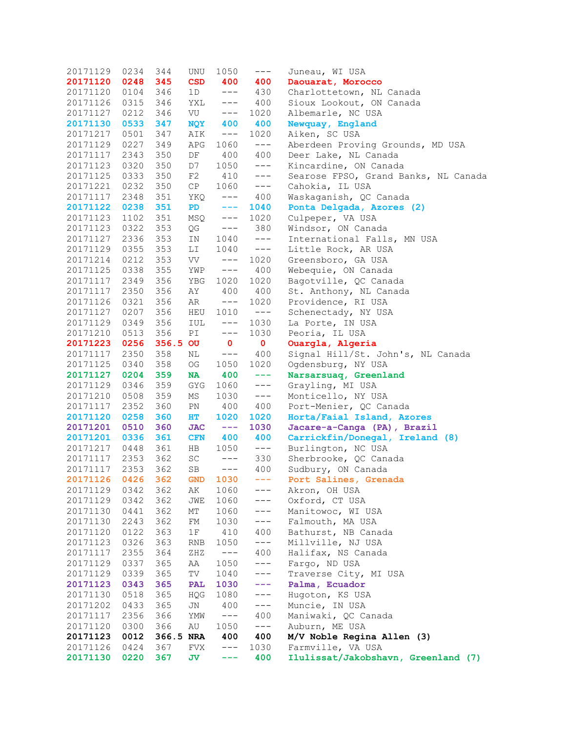| 20171129          | 0234 | 344       | UNU            | 1050                                                                                                                                                                                                                                                                                                                                                                                         | $--\,$         | Juneau, WI USA                       |
|-------------------|------|-----------|----------------|----------------------------------------------------------------------------------------------------------------------------------------------------------------------------------------------------------------------------------------------------------------------------------------------------------------------------------------------------------------------------------------------|----------------|--------------------------------------|
| 20171120          | 0248 | 345       | <b>CSD</b>     | 400                                                                                                                                                                                                                                                                                                                                                                                          | 400            | Daouarat, Morocco                    |
| 20171120          | 0104 | 346       | 1D             | $---$                                                                                                                                                                                                                                                                                                                                                                                        | 430            | Charlottetown, NL Canada             |
| 20171126          | 0315 | 346       | YXL            | $---$                                                                                                                                                                                                                                                                                                                                                                                        | 400            | Sioux Lookout, ON Canada             |
| 20171127          | 0212 | 346       | VU             | $---$                                                                                                                                                                                                                                                                                                                                                                                        | 1020           | Albemarle, NC USA                    |
| 20171130          | 0533 | 347       | <b>NQY</b>     | 400                                                                                                                                                                                                                                                                                                                                                                                          | 400            | Newquay, England                     |
| 20171217          | 0501 | 347       | AIK            | $---$                                                                                                                                                                                                                                                                                                                                                                                        | 1020           | Aiken, SC USA                        |
| 20171129          | 0227 | 349       | APG            | 1060                                                                                                                                                                                                                                                                                                                                                                                         | $---$          | Aberdeen Proving Grounds, MD USA     |
| 20171117          | 2343 | 350       | DF             | 400                                                                                                                                                                                                                                                                                                                                                                                          | 400            | Deer Lake, NL Canada                 |
| 20171123          | 0320 | 350       | D7             | 1050                                                                                                                                                                                                                                                                                                                                                                                         | $---$          | Kincardine, ON Canada                |
| 20171125          | 0333 | 350       | $\rm F2$       | 410                                                                                                                                                                                                                                                                                                                                                                                          | $---$          | Searose FPSO, Grand Banks, NL Canada |
| 20171221          | 0232 | 350       | CP             | 1060                                                                                                                                                                                                                                                                                                                                                                                         | $---$          | Cahokia, IL USA                      |
| 20171117          | 2348 | 351       | YKQ            | $---$                                                                                                                                                                                                                                                                                                                                                                                        | 400            | Waskaganish, QC Canada               |
| 20171122          | 0238 | 351       | PD             | $\frac{1}{2} \frac{1}{2} \frac{1}{2} \frac{1}{2} \frac{1}{2} \frac{1}{2} \frac{1}{2} \frac{1}{2} \frac{1}{2} \frac{1}{2} \frac{1}{2} \frac{1}{2} \frac{1}{2} \frac{1}{2} \frac{1}{2} \frac{1}{2} \frac{1}{2} \frac{1}{2} \frac{1}{2} \frac{1}{2} \frac{1}{2} \frac{1}{2} \frac{1}{2} \frac{1}{2} \frac{1}{2} \frac{1}{2} \frac{1}{2} \frac{1}{2} \frac{1}{2} \frac{1}{2} \frac{1}{2} \frac{$ | 1040           | Ponta Delgada, Azores (2)            |
| 20171123          | 1102 | 351       | MSQ.           | $---$                                                                                                                                                                                                                                                                                                                                                                                        | 1020           | Culpeper, VA USA                     |
| 20171123          | 0322 | 353       | QG             | $---$                                                                                                                                                                                                                                                                                                                                                                                        | 380            | Windsor, ON Canada                   |
| 20171127          | 2336 | 353       | IN             | 1040                                                                                                                                                                                                                                                                                                                                                                                         | $---$          | International Falls, MN USA          |
| 20171129          | 0355 | 353       | LI             | 1040                                                                                                                                                                                                                                                                                                                                                                                         | $---$          | Little Rock, AR USA                  |
| 20171214          | 0212 | 353       | VV             | $---$                                                                                                                                                                                                                                                                                                                                                                                        | 1020           | Greensboro, GA USA                   |
| 20171125          | 0338 | 355       | YWP            | $---$                                                                                                                                                                                                                                                                                                                                                                                        | 400            | Webequie, ON Canada                  |
| 20171117          | 2349 | 356       |                | 1020                                                                                                                                                                                                                                                                                                                                                                                         | 1020           | Bagotville, QC Canada                |
| 20171117          | 2350 |           | YBG            | 400                                                                                                                                                                                                                                                                                                                                                                                          | 400            |                                      |
|                   |      | 356       | ΑY             |                                                                                                                                                                                                                                                                                                                                                                                              |                | St. Anthony, NL Canada               |
| 20171126          | 0321 | 356       | AR             | $---$                                                                                                                                                                                                                                                                                                                                                                                        | 1020           | Providence, RI USA                   |
| 20171127          | 0207 | 356       | HEU            | 1010                                                                                                                                                                                                                                                                                                                                                                                         | $---$          | Schenectady, NY USA                  |
| 20171129          | 0349 | 356       | IUL            | $---$                                                                                                                                                                                                                                                                                                                                                                                        | 1030           | La Porte, IN USA                     |
| 20171210          | 0513 | 356       | PI             | $---$                                                                                                                                                                                                                                                                                                                                                                                        | 1030           | Peoria, IL USA                       |
| 20171223          | 0256 | 356.5 OU  |                | $\mathbf 0$                                                                                                                                                                                                                                                                                                                                                                                  | $\mathbf{0}$   | Ouargla, Algeria                     |
| 20171117          | 2350 | 358       | ΝL             | $---$                                                                                                                                                                                                                                                                                                                                                                                        | 400            | Signal Hill/St. John's, NL Canada    |
| 20171125          | 0340 | 358       | OG             | 1050                                                                                                                                                                                                                                                                                                                                                                                         | 1020           | Ogdensburg, NY USA                   |
| 20171127          | 0204 | 359       | NA             | 400                                                                                                                                                                                                                                                                                                                                                                                          | $- - - -$      | Narsarsuaq, Greenland                |
| 20171129          | 0346 | 359       | GYG            | 1060                                                                                                                                                                                                                                                                                                                                                                                         | $---$          | Grayling, MI USA                     |
| 20171210          | 0508 | 359       | ΜS             | 1030                                                                                                                                                                                                                                                                                                                                                                                         | $---$          | Monticello, NY USA                   |
| 20171117          | 2352 | 360       | PN             | 400                                                                                                                                                                                                                                                                                                                                                                                          | 400            | Port-Menier, QC Canada               |
| 20171120          | 0258 | 360       | HT             | 1020                                                                                                                                                                                                                                                                                                                                                                                         | 1020           | Horta/Faial Island, Azores           |
| 20171201          | 0510 | 360       | <b>JAC</b>     | $- - - -$                                                                                                                                                                                                                                                                                                                                                                                    | 1030           | Jacare-a-Canga (PA), Brazil          |
| 20171201          | 0336 | 361       | <b>CFN</b>     | 400                                                                                                                                                                                                                                                                                                                                                                                          | 400            | Carrickfin/Donegal, Ireland (8)      |
| 20171217          | 0448 | 361       | HB             | 1050                                                                                                                                                                                                                                                                                                                                                                                         | $---$          | Burlington, NC USA                   |
| 20171117          | 2353 | 362       | SC             | $-- \_$                                                                                                                                                                                                                                                                                                                                                                                      | 330            | Sherbrooke, QC Canada                |
| 20171117          | 2353 | 362       | SB             | $---$                                                                                                                                                                                                                                                                                                                                                                                        | 400            | Sudbury, ON Canada                   |
| 20171126 0426 362 |      |           |                |                                                                                                                                                                                                                                                                                                                                                                                              | $GND$ 1030 --- | Port Salines, Grenada                |
| 20171129          | 0342 | 362       | AK             | 1060                                                                                                                                                                                                                                                                                                                                                                                         | $---$          | Akron, OH USA                        |
| 20171129          | 0342 | 362       | JWE            | 1060                                                                                                                                                                                                                                                                                                                                                                                         | $---$          | Oxford, CT USA                       |
| 20171130          | 0441 | 362       | МT             | 1060                                                                                                                                                                                                                                                                                                                                                                                         | $---$          | Manitowoc, WI USA                    |
| 20171130          | 2243 | 362       | FM             | 1030                                                                                                                                                                                                                                                                                                                                                                                         | $---$          | Falmouth, MA USA                     |
| 20171120          | 0122 | 363       | 1F             | 410                                                                                                                                                                                                                                                                                                                                                                                          | 400            | Bathurst, NB Canada                  |
| 20171123          | 0326 | 363       | $\mathbb{RNB}$ | 1050                                                                                                                                                                                                                                                                                                                                                                                         | $--\,$         | Millville, NJ USA                    |
| 20171117          | 2355 | 364       | ZHZ            | $---$                                                                                                                                                                                                                                                                                                                                                                                        | 400            | Halifax, NS Canada                   |
| 20171129          | 0337 | 365       | AA             | 1050                                                                                                                                                                                                                                                                                                                                                                                         | $---$          | Fargo, ND USA                        |
| 20171129          | 0339 | 365       | TV             | 1040                                                                                                                                                                                                                                                                                                                                                                                         | $---$          | Traverse City, MI USA                |
| 20171123          | 0343 | 365       | PAL            | 1030                                                                                                                                                                                                                                                                                                                                                                                         | ---            | Palma, Ecuador                       |
| 20171130          | 0518 | 365       | HQG            | 1080                                                                                                                                                                                                                                                                                                                                                                                         | $---$          | Hugoton, KS USA                      |
| 20171202          | 0433 | 365       | JN             | 400                                                                                                                                                                                                                                                                                                                                                                                          | $---$          | Muncie, IN USA                       |
| 20171117          | 2356 | 366       | WMY            | $---$                                                                                                                                                                                                                                                                                                                                                                                        | 400            | Maniwaki, QC Canada                  |
| 20171120          | 0300 | 366       | AU             | 1050                                                                                                                                                                                                                                                                                                                                                                                         | $---$          | Auburn, ME USA                       |
| 20171123          | 0012 | 366.5 NRA |                | 400                                                                                                                                                                                                                                                                                                                                                                                          | 400            | M/V Noble Regina Allen (3)           |
| 20171126          | 0424 | 367       | FVX            | $---$                                                                                                                                                                                                                                                                                                                                                                                        | 1030           | Farmville, VA USA                    |
| 20171130          | 0220 | 367       | JV             | ---                                                                                                                                                                                                                                                                                                                                                                                          | 400            | Ilulissat/Jakobshavn, Greenland (7)  |
|                   |      |           |                |                                                                                                                                                                                                                                                                                                                                                                                              |                |                                      |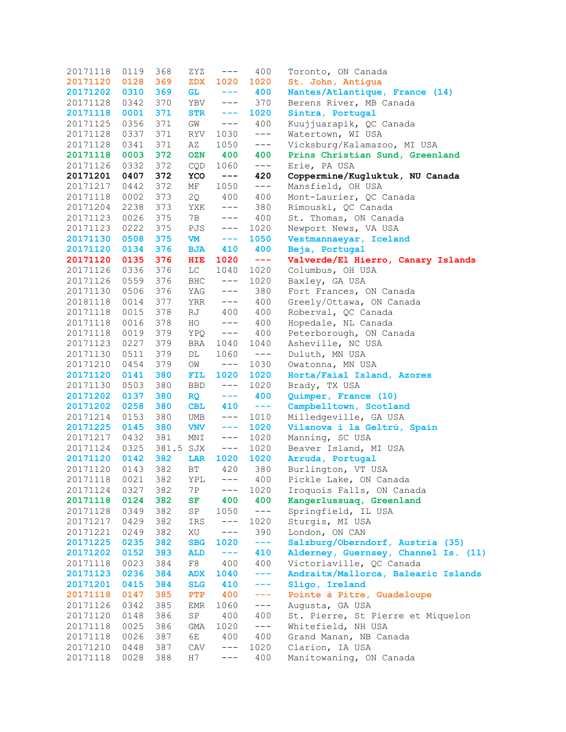| 20171118 | 0119 | 368       | ZYZ        | $---$               | 400     | Toronto, ON Canada                   |
|----------|------|-----------|------------|---------------------|---------|--------------------------------------|
| 20171120 | 0128 | 369       | <b>ZDX</b> | 1020                | 1020    | St. John, Antigua                    |
| 20171202 | 0310 | 369       | <b>GL</b>  | $\qquad \qquad - -$ | 400     | Nantes/Atlantique, France (14)       |
| 20171128 | 0342 | 370       | YBV        | $---$               | 370     | Berens River, MB Canada              |
| 20171118 | 0001 | 371       | <b>STR</b> | $\qquad \qquad - -$ | 1020    | Sintra, Portugal                     |
| 20171125 | 0356 | 371       | GM         | $---$               | 400     | Kuujjuarapik, QC Canada              |
| 20171128 | 0337 | 371       | RYV        | 1030                | $---$   | Watertown, WI USA                    |
| 20171128 | 0341 | 371       | ΑZ         | 1050                | $---$   | Vicksburg/Kalamazoo, MI USA          |
| 20171118 | 0003 | 372       | <b>OZN</b> | 400                 | 400     | Prins Christian Sund, Greenland      |
| 20171126 | 0332 | 372       | CQD        | 1060                | $---$   | Erie, PA USA                         |
| 20171201 | 0407 | 372       | YCO        | $- -$               | 420     | Coppermine/Kugluktuk, NU Canada      |
| 20171217 | 0442 | 372       | МF         | 1050                | $---$   | Mansfield, OH USA                    |
| 20171118 | 0002 | 373       | 2Q         | 400                 | 400     | Mont-Laurier, QC Canada              |
| 20171204 | 2238 | 373       | YXK        | $---$               | 380     | Rimouski, QC Canada                  |
| 20171123 | 0026 | 375       | 7 B        | $---$               | 400     | St. Thomas, ON Canada                |
| 20171123 | 0222 | 375       | PJS        | $---$               | 1020    | Newport News, VA USA                 |
| 20171130 | 0508 | 375       | <b>VM</b>  | $---$               | 1050    | Vestmannaeyar, Iceland               |
| 20171120 | 0134 | 376       | <b>BJA</b> | 410                 | 400     | Beja, Portugal                       |
| 20171120 | 0135 | 376       | <b>HIE</b> | 1020                | $- - -$ | Valverde/El Hierro, Canary Islands   |
| 20171126 | 0336 | 376       | LC         | 1040                | 1020    | Columbus, OH USA                     |
| 20171126 | 0559 | 376       | BHC        | $--\,$ $-$          | 1020    | Baxley, GA USA                       |
| 20171130 | 0506 | 376       | YAG        | $---$               | 380     | Fort Frances, ON Canada              |
| 20181118 | 0014 | 377       | YRR        | $---$               | 400     | Greely/Ottawa, ON Canada             |
| 20171118 | 0015 | 378       | RJ         | 400                 | 400     | Roberval, QC Canada                  |
| 20171118 | 0016 | 378       | HO         | $---$               | 400     | Hopedale, NL Canada                  |
| 20171118 | 0019 | 379       | YPQ        | $--\,$              | 400     | Peterborough, ON Canada              |
|          | 0227 | 379       |            |                     |         |                                      |
| 20171123 |      | 379       | BRA        | 1040                | 1040    | Asheville, NC USA<br>Duluth, MN USA  |
| 20171130 | 0511 |           | DL         | 1060                | $---$   |                                      |
| 20171210 | 0454 | 379       | OM         | $---$               | 1030    | Owatonna, MN USA                     |
| 20171120 | 0141 | 380       | FIL        | 1020                | 1020    | Horta/Faial Island, Azores           |
| 20171130 | 0503 | 380       | <b>BBD</b> | $---$               | 1020    | Brady, TX USA                        |
| 20171202 | 0137 | 380       | <b>RQ</b>  | $-- -$              | 400     | Quimper, France (10)                 |
| 20171202 | 0258 | 380       | <b>CBL</b> | 410                 | $- - -$ | Campbelltown, Scotland               |
| 20171214 | 0153 | 380       | UMB        | $---$               | 1010    | Milledgeville, GA USA                |
| 20171225 | 0145 | 380       | <b>VNV</b> | $- - - -$           | 1020    | Vilanova i la Geltrú, Spain          |
| 20171217 | 0432 | 381       | MNI        | $---$               | 1020    | Manning, SC USA                      |
| 20171124 | 0325 | 381.5 SJX |            | $--\,$              | 1020    | Beaver Island, MI USA                |
| 20171120 | 0142 | 382       | LAR        | 1020                | 1020    | Arruda, Portugal                     |
| 20171120 | 0143 | 382       | ВT         | 420                 | 380     | Burlington, VT USA                   |
| 20171118 | 0021 | 382       | YPL        | $- - -$             | 400     | Pickle Lake, ON Canada               |
| 20171124 | 0327 | 382       | 7 P        | $---$               | 1020    | Iroquois Falls, ON Canada            |
| 20171118 | 0124 | 382       | SF         | 400                 | 400     | Kangerlussuaq, Greenland             |
| 20171128 | 0349 | 382       | SP         | 1050                | $---$   | Springfield, IL USA                  |
| 20171217 | 0429 | 382       | IRS        | $---$               | 1020    | Sturgis, MI USA                      |
| 20171221 | 0249 | 382       | XU         | $---$               | 390     | London, ON CAN                       |
| 20171225 | 0235 | 382       | <b>SBG</b> | 1020                | $- - -$ | Salzburg/Oberndorf, Austria (35)     |
| 20171202 | 0152 | 383       | <b>ALD</b> | $-- -$              | 410     | Alderney, Guernsey, Channel Is. (11) |
| 20171118 | 0023 | 384       | F8         | 400                 | 400     | Victoriaville, QC Canada             |
| 20171123 | 0236 | 384       | <b>ADX</b> | 1040                | $---$   | Andraitx/Mallorca, Balearic Islands  |
| 20171201 | 0415 | 384       | <b>SLG</b> | 410                 | $-- -$  | Sligo, Ireland                       |
| 20171118 | 0147 | 385       | PTP        | 400                 | $- - -$ | Pointe à Pitre, Guadeloupe           |
| 20171126 | 0342 | 385       | EMR        | 1060                | $---$   | Augusta, GA USA                      |
| 20171120 | 0148 | 386       | ${\tt SP}$ | 400                 | 400     | St. Pierre, St Pierre et Miquelon    |
| 20171118 | 0025 | 386       | GMA        | 1020                | $---$   | Whitefield, NH USA                   |
| 20171118 | 0026 | 387       | 6E         | 400                 | 400     | Grand Manan, NB Canada               |
| 20171210 | 0448 | 387       | CAV        | $---$               | 1020    | Clarion, IA USA                      |
| 20171118 | 0028 | 388       | H7         | $---$               | 400     | Manitowaning, ON Canada              |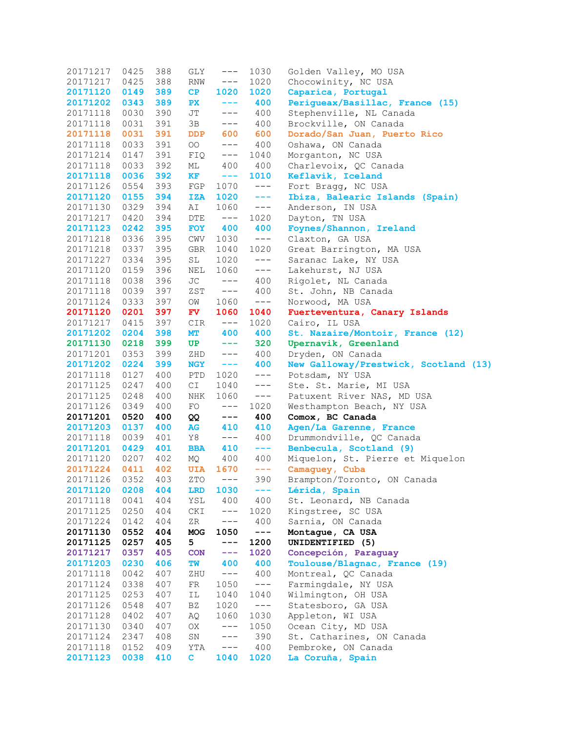| 20171217             | 0425         | 388        | GLY          | $---$                                                                                                                                                                                                                                                                                                                                                                                        | 1030                                                                                                                                                                                                                                                                                                                                                                                         | Golden Valley, MO USA                     |
|----------------------|--------------|------------|--------------|----------------------------------------------------------------------------------------------------------------------------------------------------------------------------------------------------------------------------------------------------------------------------------------------------------------------------------------------------------------------------------------------|----------------------------------------------------------------------------------------------------------------------------------------------------------------------------------------------------------------------------------------------------------------------------------------------------------------------------------------------------------------------------------------------|-------------------------------------------|
| 20171217             | 0425         | 388        | RNW          | $---$                                                                                                                                                                                                                                                                                                                                                                                        | 1020                                                                                                                                                                                                                                                                                                                                                                                         | Chocowinity, NC USA                       |
| 20171120             | 0149         | 389        | CP           | 1020                                                                                                                                                                                                                                                                                                                                                                                         | 1020                                                                                                                                                                                                                                                                                                                                                                                         | Caparica, Portugal                        |
| 20171202             | 0343         | 389        | PX           | $- - -$                                                                                                                                                                                                                                                                                                                                                                                      | 400                                                                                                                                                                                                                                                                                                                                                                                          | Perigueax/Basillac, France (15)           |
| 20171118             | 0030         | 390        | JT           | $---$                                                                                                                                                                                                                                                                                                                                                                                        | 400                                                                                                                                                                                                                                                                                                                                                                                          | Stephenville, NL Canada                   |
| 20171118             | 0031         | 391        | 3B           | $---$                                                                                                                                                                                                                                                                                                                                                                                        | 400                                                                                                                                                                                                                                                                                                                                                                                          | Brockville, ON Canada                     |
| 20171118             | 0031         | 391        | <b>DDP</b>   | 600                                                                                                                                                                                                                                                                                                                                                                                          | 600                                                                                                                                                                                                                                                                                                                                                                                          | Dorado/San Juan, Puerto Rico              |
| 20171118             | 0033         | 391        | OO           | $---$                                                                                                                                                                                                                                                                                                                                                                                        | 400                                                                                                                                                                                                                                                                                                                                                                                          | Oshawa, ON Canada                         |
| 20171214             | 0147         | 391        | FIQ          | $---$                                                                                                                                                                                                                                                                                                                                                                                        | 1040                                                                                                                                                                                                                                                                                                                                                                                         | Morganton, NC USA                         |
| 20171118             | 0033         | 392        | МL           | 400                                                                                                                                                                                                                                                                                                                                                                                          | 400                                                                                                                                                                                                                                                                                                                                                                                          | Charlevoix, QC Canada                     |
| 20171118             | 0036         | 392        | KF           | $- - -$                                                                                                                                                                                                                                                                                                                                                                                      | 1010                                                                                                                                                                                                                                                                                                                                                                                         | Keflavik, Iceland                         |
| 20171126             | 0554         | 393        | FGP          | 1070                                                                                                                                                                                                                                                                                                                                                                                         | $---$                                                                                                                                                                                                                                                                                                                                                                                        | Fort Bragg, NC USA                        |
| 20171120             | 0155         | 394        | <b>IZA</b>   | 1020                                                                                                                                                                                                                                                                                                                                                                                         | $- - - -$                                                                                                                                                                                                                                                                                                                                                                                    | Ibiza, Balearic Islands (Spain)           |
| 20171130             | 0329         | 394        | AI           | 1060                                                                                                                                                                                                                                                                                                                                                                                         | $---$                                                                                                                                                                                                                                                                                                                                                                                        | Anderson, IN USA                          |
| 20171217             | 0420         | 394        | DTE          | $---$                                                                                                                                                                                                                                                                                                                                                                                        | 1020                                                                                                                                                                                                                                                                                                                                                                                         | Dayton, TN USA                            |
| 20171123             | 0242         | 395        | <b>FOY</b>   | 400                                                                                                                                                                                                                                                                                                                                                                                          | 400                                                                                                                                                                                                                                                                                                                                                                                          | Foynes/Shannon, Ireland                   |
| 20171218             | 0336         | 395        | CWV          | 1030                                                                                                                                                                                                                                                                                                                                                                                         | $---$                                                                                                                                                                                                                                                                                                                                                                                        | Claxton, GA USA                           |
| 20171218             | 0337         | 395        | GBR          | 1040                                                                                                                                                                                                                                                                                                                                                                                         | 1020                                                                                                                                                                                                                                                                                                                                                                                         | Great Barrington, MA USA                  |
| 20171227             | 0334         | 395        | SL           | 1020                                                                                                                                                                                                                                                                                                                                                                                         | $---$                                                                                                                                                                                                                                                                                                                                                                                        | Saranac Lake, NY USA                      |
| 20171120             | 0159         | 396        | NEL          | 1060                                                                                                                                                                                                                                                                                                                                                                                         | $---$                                                                                                                                                                                                                                                                                                                                                                                        | Lakehurst, NJ USA                         |
| 20171118             | 0038         | 396        | JC           | $---$                                                                                                                                                                                                                                                                                                                                                                                        | 400                                                                                                                                                                                                                                                                                                                                                                                          | Rigolet, NL Canada                        |
| 20171118             | 0039         | 397        | ZST          | $---$                                                                                                                                                                                                                                                                                                                                                                                        | 400                                                                                                                                                                                                                                                                                                                                                                                          | St. John, NB Canada                       |
| 20171124             | 0333         | 397        | OM           | 1060                                                                                                                                                                                                                                                                                                                                                                                         | $---$                                                                                                                                                                                                                                                                                                                                                                                        | Norwood, MA USA                           |
| 20171120             | 0201         | 397        | <b>FV</b>    | 1060                                                                                                                                                                                                                                                                                                                                                                                         | 1040                                                                                                                                                                                                                                                                                                                                                                                         | Fuerteventura, Canary Islands             |
| 20171217             | 0415         | 397        | CIR          | $---$                                                                                                                                                                                                                                                                                                                                                                                        | 1020                                                                                                                                                                                                                                                                                                                                                                                         | Cairo, IL USA                             |
| 20171202             | 0204         | 398        | MT           | 400                                                                                                                                                                                                                                                                                                                                                                                          | 400                                                                                                                                                                                                                                                                                                                                                                                          | St. Nazaire/Montoir, France (12)          |
| 20171130             | 0218         | 399        | UP           | $\frac{1}{2} \frac{1}{2} \frac{1}{2} \frac{1}{2} \frac{1}{2} \frac{1}{2} \frac{1}{2} \frac{1}{2} \frac{1}{2} \frac{1}{2} \frac{1}{2} \frac{1}{2} \frac{1}{2} \frac{1}{2} \frac{1}{2} \frac{1}{2} \frac{1}{2} \frac{1}{2} \frac{1}{2} \frac{1}{2} \frac{1}{2} \frac{1}{2} \frac{1}{2} \frac{1}{2} \frac{1}{2} \frac{1}{2} \frac{1}{2} \frac{1}{2} \frac{1}{2} \frac{1}{2} \frac{1}{2} \frac{$ | 320                                                                                                                                                                                                                                                                                                                                                                                          | Upernavik, Greenland                      |
| 20171201             | 0353         | 399        | ZHD          | $---$                                                                                                                                                                                                                                                                                                                                                                                        | 400                                                                                                                                                                                                                                                                                                                                                                                          | Dryden, ON Canada                         |
|                      |              |            |              |                                                                                                                                                                                                                                                                                                                                                                                              | 400                                                                                                                                                                                                                                                                                                                                                                                          |                                           |
| 20171202             | 0224         | 399        | <b>NGY</b>   | $\frac{1}{2} \frac{1}{2} \frac{1}{2} \frac{1}{2} \frac{1}{2} \frac{1}{2} \frac{1}{2} \frac{1}{2} \frac{1}{2} \frac{1}{2} \frac{1}{2} \frac{1}{2} \frac{1}{2} \frac{1}{2} \frac{1}{2} \frac{1}{2} \frac{1}{2} \frac{1}{2} \frac{1}{2} \frac{1}{2} \frac{1}{2} \frac{1}{2} \frac{1}{2} \frac{1}{2} \frac{1}{2} \frac{1}{2} \frac{1}{2} \frac{1}{2} \frac{1}{2} \frac{1}{2} \frac{1}{2} \frac{$ | $---$                                                                                                                                                                                                                                                                                                                                                                                        | New Galloway/Prestwick, Scotland (13)     |
| 20171118<br>20171125 | 0127<br>0247 | 400<br>400 | PTD<br>C1    | 1020<br>1040                                                                                                                                                                                                                                                                                                                                                                                 |                                                                                                                                                                                                                                                                                                                                                                                              | Potsdam, NY USA<br>Ste. St. Marie, MI USA |
| 20171125             | 0248         | 400        | NHK          | 1060                                                                                                                                                                                                                                                                                                                                                                                         | $---$<br>$---$                                                                                                                                                                                                                                                                                                                                                                               |                                           |
|                      |              |            |              |                                                                                                                                                                                                                                                                                                                                                                                              |                                                                                                                                                                                                                                                                                                                                                                                              | Patuxent River NAS, MD USA                |
| 20171126             | 0349         | 400        | FO           | $---$                                                                                                                                                                                                                                                                                                                                                                                        | 1020                                                                                                                                                                                                                                                                                                                                                                                         | Westhampton Beach, NY USA                 |
| 20171201             | 0520         | 400        | QQ           | $\qquad \qquad - -$                                                                                                                                                                                                                                                                                                                                                                          | 400                                                                                                                                                                                                                                                                                                                                                                                          | Comox, BC Canada                          |
| 20171203             | 0137         | 400        | AG           | 410                                                                                                                                                                                                                                                                                                                                                                                          | 410                                                                                                                                                                                                                                                                                                                                                                                          | Agen/La Garenne, France                   |
| 20171118             | 0039         | 401        | Y8           | $---$                                                                                                                                                                                                                                                                                                                                                                                        | 400                                                                                                                                                                                                                                                                                                                                                                                          | Drummondville, QC Canada                  |
| 20171201             | 0429         | 401        | <b>BBA</b>   | 410                                                                                                                                                                                                                                                                                                                                                                                          | ---                                                                                                                                                                                                                                                                                                                                                                                          | Benbecula, Scotland (9)                   |
| 20171120             | 0207         | 402        | MQ.          | 400                                                                                                                                                                                                                                                                                                                                                                                          | 400                                                                                                                                                                                                                                                                                                                                                                                          | Miquelon, St. Pierre et Miquelon          |
| 20171224             | 0411         | 402        | <b>UIA</b>   | 1670                                                                                                                                                                                                                                                                                                                                                                                         | $\frac{1}{2} \frac{1}{2} \frac{1}{2} \frac{1}{2} \frac{1}{2} \frac{1}{2} \frac{1}{2} \frac{1}{2} \frac{1}{2} \frac{1}{2} \frac{1}{2} \frac{1}{2} \frac{1}{2} \frac{1}{2} \frac{1}{2} \frac{1}{2} \frac{1}{2} \frac{1}{2} \frac{1}{2} \frac{1}{2} \frac{1}{2} \frac{1}{2} \frac{1}{2} \frac{1}{2} \frac{1}{2} \frac{1}{2} \frac{1}{2} \frac{1}{2} \frac{1}{2} \frac{1}{2} \frac{1}{2} \frac{$ | Camaguey, Cuba                            |
| 20171126             | 0352         | 403        |              | $ZTO$ ---                                                                                                                                                                                                                                                                                                                                                                                    | 390                                                                                                                                                                                                                                                                                                                                                                                          | Brampton/Toronto, ON Canada               |
| 20171120             | 0208         | 404        | <b>LRD</b>   | 1030                                                                                                                                                                                                                                                                                                                                                                                         | $- - - -$                                                                                                                                                                                                                                                                                                                                                                                    | Lérida, Spain                             |
| 20171118             | 0041         | 404        | YSL          | 400                                                                                                                                                                                                                                                                                                                                                                                          | 400                                                                                                                                                                                                                                                                                                                                                                                          | St. Leonard, NB Canada                    |
| 20171125             | 0250         | 404        | CKI          | $---$                                                                                                                                                                                                                                                                                                                                                                                        | 1020                                                                                                                                                                                                                                                                                                                                                                                         | Kingstree, SC USA                         |
| 20171224             | 0142         | 404        | ZR           | $---$                                                                                                                                                                                                                                                                                                                                                                                        | 400                                                                                                                                                                                                                                                                                                                                                                                          | Sarnia, ON Canada                         |
| 20171130             | 0552         | 404        | MOG          | 1050                                                                                                                                                                                                                                                                                                                                                                                         | $\qquad \qquad - -$                                                                                                                                                                                                                                                                                                                                                                          | Montague, CA USA                          |
| 20171125             | 0257         | 405        | 5            | $---$                                                                                                                                                                                                                                                                                                                                                                                        | 1200                                                                                                                                                                                                                                                                                                                                                                                         | UNIDENTIFIED (5)                          |
| 20171217             | 0357         | 405        | <b>CON</b>   | $- - -$                                                                                                                                                                                                                                                                                                                                                                                      | 1020                                                                                                                                                                                                                                                                                                                                                                                         | Concepción, Paraguay                      |
| 20171203             | 0230         | 406        | TW           | 400                                                                                                                                                                                                                                                                                                                                                                                          | 400                                                                                                                                                                                                                                                                                                                                                                                          | Toulouse/Blagnac, France (19)             |
| 20171118             | 0042         | 407        | ZHU          | $---$                                                                                                                                                                                                                                                                                                                                                                                        | 400                                                                                                                                                                                                                                                                                                                                                                                          | Montreal, QC Canada                       |
| 20171124             | 0338         | 407        | FR           | 1050                                                                                                                                                                                                                                                                                                                                                                                         | $---$                                                                                                                                                                                                                                                                                                                                                                                        | Farmingdale, NY USA                       |
| 20171125             | 0253         | 407        | ΙL           | 1040                                                                                                                                                                                                                                                                                                                                                                                         | 1040                                                                                                                                                                                                                                                                                                                                                                                         | Wilmington, OH USA                        |
| 20171126             | 0548         | 407        | BZ           | 1020                                                                                                                                                                                                                                                                                                                                                                                         | $---$                                                                                                                                                                                                                                                                                                                                                                                        | Statesboro, GA USA                        |
| 20171128             | 0402         | 407        | ΑQ           | 1060                                                                                                                                                                                                                                                                                                                                                                                         | 1030                                                                                                                                                                                                                                                                                                                                                                                         | Appleton, WI USA                          |
| 20171130             | 0340         | 407        | OX           | $---$                                                                                                                                                                                                                                                                                                                                                                                        | 1050                                                                                                                                                                                                                                                                                                                                                                                         | Ocean City, MD USA                        |
| 20171124             | 2347         | 408        | SN           | $--\,$                                                                                                                                                                                                                                                                                                                                                                                       | 390                                                                                                                                                                                                                                                                                                                                                                                          | St. Catharines, ON Canada                 |
| 20171118             | 0152         | 409        | YTA          | $---$                                                                                                                                                                                                                                                                                                                                                                                        | 400                                                                                                                                                                                                                                                                                                                                                                                          | Pembroke, ON Canada                       |
| 20171123             | 0038         | 410        | $\mathbf{C}$ | 1040                                                                                                                                                                                                                                                                                                                                                                                         | 1020                                                                                                                                                                                                                                                                                                                                                                                         | La Coruña, Spain                          |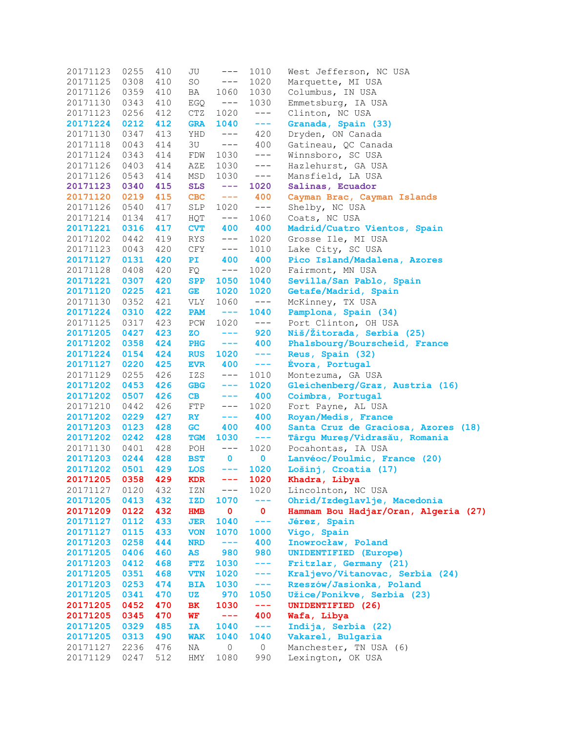| 20171123          | 0255 | 410 | JU         | $---$                                                                                                                                                                                                                                                                                                                                                                                        | 1010                | West Jefferson, NC USA               |
|-------------------|------|-----|------------|----------------------------------------------------------------------------------------------------------------------------------------------------------------------------------------------------------------------------------------------------------------------------------------------------------------------------------------------------------------------------------------------|---------------------|--------------------------------------|
| 20171125          | 0308 | 410 | SO         | $--\,$                                                                                                                                                                                                                                                                                                                                                                                       | 1020                | Marquette, MI USA                    |
| 20171126          | 0359 | 410 | BA         | 1060                                                                                                                                                                                                                                                                                                                                                                                         | 1030                | Columbus, IN USA                     |
| 20171130          | 0343 | 410 | EGQ        | $---$                                                                                                                                                                                                                                                                                                                                                                                        | 1030                | Emmetsburg, IA USA                   |
| 20171123          | 0256 | 412 | CTZ        | 1020                                                                                                                                                                                                                                                                                                                                                                                         | $--\,$              | Clinton, NC USA                      |
| 20171224          | 0212 | 412 | <b>GRA</b> | 1040                                                                                                                                                                                                                                                                                                                                                                                         | ---                 | Granada, Spain (33)                  |
| 20171130          | 0347 | 413 | YHD        | $--\,$                                                                                                                                                                                                                                                                                                                                                                                       | 420                 | Dryden, ON Canada                    |
| 20171118          | 0043 | 414 | 3U         | $--\,$                                                                                                                                                                                                                                                                                                                                                                                       | 400                 | Gatineau, QC Canada                  |
| 20171124          | 0343 | 414 | FDW        | 1030                                                                                                                                                                                                                                                                                                                                                                                         | $--\,$              | Winnsboro, SC USA                    |
| 20171126          | 0403 | 414 | AZE        | 1030                                                                                                                                                                                                                                                                                                                                                                                         | $--\,$              | Hazlehurst, GA USA                   |
| 20171126          | 0543 | 414 | MSD        | 1030                                                                                                                                                                                                                                                                                                                                                                                         | $--\,$              | Mansfield, LA USA                    |
| 20171123          | 0340 | 415 | <b>SLS</b> | $- - -$                                                                                                                                                                                                                                                                                                                                                                                      | 1020                | Salinas, Ecuador                     |
| 20171120          | 0219 | 415 | <b>CBC</b> | $\sim$ $ -$                                                                                                                                                                                                                                                                                                                                                                                  | 400                 | Cayman Brac, Cayman Islands          |
| 20171126          | 0540 | 417 | SLP        | 1020                                                                                                                                                                                                                                                                                                                                                                                         | $---$               | Shelby, NC USA                       |
| 20171214          | 0134 | 417 | HQT        | $--\,$                                                                                                                                                                                                                                                                                                                                                                                       | 1060                | Coats, NC USA                        |
| 20171221          | 0316 | 417 | <b>CVT</b> | 400                                                                                                                                                                                                                                                                                                                                                                                          | 400                 | Madrid/Cuatro Vientos, Spain         |
| 20171202          | 0442 | 419 | RYS        | $--\,$                                                                                                                                                                                                                                                                                                                                                                                       | 1020                | Grosse Ile, MI USA                   |
| 20171123          | 0043 | 420 | CFY        | $--\,$                                                                                                                                                                                                                                                                                                                                                                                       | 1010                | Lake City, SC USA                    |
| 20171127          | 0131 | 420 | PI         | 400                                                                                                                                                                                                                                                                                                                                                                                          | 400                 | Pico Island/Madalena, Azores         |
| 20171128          | 0408 | 420 | FQ         | $--\,$                                                                                                                                                                                                                                                                                                                                                                                       | 1020                | Fairmont, MN USA                     |
| 20171221          | 0307 | 420 | <b>SPP</b> | 1050                                                                                                                                                                                                                                                                                                                                                                                         | 1040                | Sevilla/San Pablo, Spain             |
| 20171120          | 0225 | 421 | GE         | 1020                                                                                                                                                                                                                                                                                                                                                                                         | 1020                | Getafe/Madrid, Spain                 |
| 20171130          | 0352 | 421 | VLY        | 1060                                                                                                                                                                                                                                                                                                                                                                                         | $---$               | McKinney, TX USA                     |
| 20171224          | 0310 | 422 | <b>PAM</b> | $- - -$                                                                                                                                                                                                                                                                                                                                                                                      | 1040                | Pamplona, Spain (34)                 |
| 20171125          | 0317 | 423 | PCW        | 1020                                                                                                                                                                                                                                                                                                                                                                                         | $---$               | Port Clinton, OH USA                 |
| 20171205          | 0427 | 423 | <b>ZO</b>  | $---$                                                                                                                                                                                                                                                                                                                                                                                        | 920                 | Niš/Žitorada, Serbia (25)            |
| 20171202          | 0358 | 424 | <b>PHG</b> | $- - -$                                                                                                                                                                                                                                                                                                                                                                                      | 400                 | Phalsbourg/Bourscheid, France        |
| 20171224          | 0154 | 424 | <b>RUS</b> | 1020                                                                                                                                                                                                                                                                                                                                                                                         | $- - -$             | Reus, Spain (32)                     |
| 20171127          | 0220 | 425 | <b>EVR</b> | 400                                                                                                                                                                                                                                                                                                                                                                                          | $- - -$             | Evora, Portugal                      |
| 20171129          | 0255 | 426 | IZS        | $--\,$                                                                                                                                                                                                                                                                                                                                                                                       | 1010                | Montezuma, GA USA                    |
| 20171202          | 0453 | 426 | <b>GBG</b> | $-- -$                                                                                                                                                                                                                                                                                                                                                                                       | 1020                | Gleichenberg/Graz, Austria (16)      |
| 20171202          | 0507 | 426 | CB         | $- - -$                                                                                                                                                                                                                                                                                                                                                                                      | 400                 | Coimbra, Portugal                    |
| 20171210          | 0442 | 426 | FTP        | $---$                                                                                                                                                                                                                                                                                                                                                                                        | 1020                | Fort Payne, AL USA                   |
| 20171202          | 0229 | 427 | RY         | $- - -$                                                                                                                                                                                                                                                                                                                                                                                      | 400                 | Royan/Medis, France                  |
| 20171203          | 0123 | 428 | <b>GC</b>  | 400                                                                                                                                                                                                                                                                                                                                                                                          | 400                 | Santa Cruz de Graciosa, Azores (18)  |
| 20171202          | 0242 | 428 | <b>TGM</b> | 1030                                                                                                                                                                                                                                                                                                                                                                                         | $- - -$             | Târgu Mureș/Vidrasău, Romania        |
| 20171130          | 0401 | 428 | POH        | $--\,$                                                                                                                                                                                                                                                                                                                                                                                       | 1020                | Pocahontas, IA USA                   |
| 20171203          | 0244 | 428 | <b>BST</b> | $\mathbf 0$                                                                                                                                                                                                                                                                                                                                                                                  | $\mathbf{0}$        | Lanvéoc/Poulmic, France (20)         |
| 20171202          | 0501 | 429 | <b>LOS</b> | $- - -$                                                                                                                                                                                                                                                                                                                                                                                      | 1020                | Lošinj, Croatia (17)                 |
| 20171205 0358 429 |      |     | <b>KDR</b> | ---                                                                                                                                                                                                                                                                                                                                                                                          | 1020                | Khadra, Libya                        |
| 20171127          | 0120 | 432 | IZN        | $---$                                                                                                                                                                                                                                                                                                                                                                                        | 1020                | Lincolnton, NC USA                   |
| 20171205          | 0413 | 432 | IZD        | 1070                                                                                                                                                                                                                                                                                                                                                                                         | $-- -$              | Ohrid/Izdeglavlje, Macedonia         |
| 20171209          | 0122 | 432 | <b>HMB</b> | $\mathbf 0$                                                                                                                                                                                                                                                                                                                                                                                  | $\mathbf{0}$        | Hammam Bou Hadjar/Oran, Algeria (27) |
| 20171127          | 0112 | 433 | JER        | 1040                                                                                                                                                                                                                                                                                                                                                                                         | $\qquad \qquad - -$ | Jérez, Spain                         |
| 20171127          | 0115 | 433 | <b>VON</b> | 1070                                                                                                                                                                                                                                                                                                                                                                                         | 1000                | Vigo, Spain                          |
| 20171203          | 0258 | 444 | <b>NRD</b> | $- - -$                                                                                                                                                                                                                                                                                                                                                                                      | 400                 | Inowrocław, Poland                   |
| 20171205          | 0406 | 460 | AS         | 980                                                                                                                                                                                                                                                                                                                                                                                          | 980                 | <b>UNIDENTIFIED (Europe)</b>         |
| 20171203          | 0412 | 468 | <b>FTZ</b> | 1030                                                                                                                                                                                                                                                                                                                                                                                         | $--$                | Fritzlar, Germany (21)               |
| 20171205          | 0351 | 468 | <b>VTN</b> | 1020                                                                                                                                                                                                                                                                                                                                                                                         | $---$               | Kraljevo/Vitanovac, Serbia (24)      |
| 20171203          | 0253 | 474 | <b>BIA</b> | 1030                                                                                                                                                                                                                                                                                                                                                                                         | $---$               | Rzeszów/Jasionka, Poland             |
| 20171205          | 0341 | 470 | UZ         | 970                                                                                                                                                                                                                                                                                                                                                                                          | 1050                | Užice/Ponikve, Serbia (23)           |
| 20171205          | 0452 | 470 | ВK         | 1030                                                                                                                                                                                                                                                                                                                                                                                         | $- - -$             | UNIDENTIFIED (26)                    |
| 20171205          | 0345 | 470 | WF         | $\frac{1}{2} \frac{1}{2} \frac{1}{2} \frac{1}{2} \frac{1}{2} \frac{1}{2} \frac{1}{2} \frac{1}{2} \frac{1}{2} \frac{1}{2} \frac{1}{2} \frac{1}{2} \frac{1}{2} \frac{1}{2} \frac{1}{2} \frac{1}{2} \frac{1}{2} \frac{1}{2} \frac{1}{2} \frac{1}{2} \frac{1}{2} \frac{1}{2} \frac{1}{2} \frac{1}{2} \frac{1}{2} \frac{1}{2} \frac{1}{2} \frac{1}{2} \frac{1}{2} \frac{1}{2} \frac{1}{2} \frac{$ | 400                 | Wafa, Libya                          |
| 20171205          | 0329 | 485 | IA         | 1040                                                                                                                                                                                                                                                                                                                                                                                         | $- - -$             | Indija, Serbia (22)                  |
| 20171205          | 0313 | 490 | <b>WAK</b> | 1040                                                                                                                                                                                                                                                                                                                                                                                         | 1040                | Vakarel, Bulgaria                    |
| 20171127          | 2236 | 476 | ΝA         | $\circ$                                                                                                                                                                                                                                                                                                                                                                                      | 0                   | Manchester, TN USA (6)               |
| 20171129          | 0247 | 512 | HMY        | 1080                                                                                                                                                                                                                                                                                                                                                                                         | 990                 | Lexington, OK USA                    |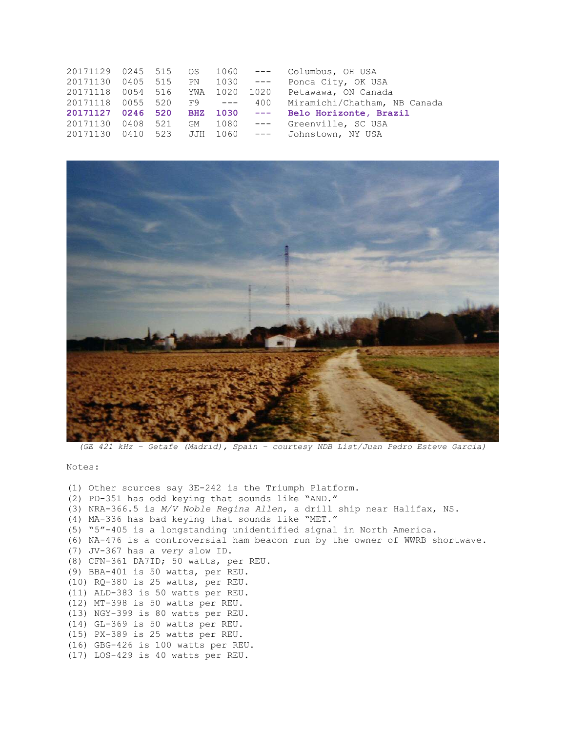|  |                                                    |                   | Ponca City, OK USA                                                                                                                                                         |
|--|----------------------------------------------------|-------------------|----------------------------------------------------------------------------------------------------------------------------------------------------------------------------|
|  |                                                    |                   | 1020 Petawawa, ON Canada                                                                                                                                                   |
|  |                                                    | 400               | Miramichi/Chatham, NB Canada                                                                                                                                               |
|  |                                                    |                   | Belo Horizonte, Brazil                                                                                                                                                     |
|  |                                                    | $---$             | Greenville, SC USA                                                                                                                                                         |
|  |                                                    |                   |                                                                                                                                                                            |
|  | 20171118 0055 520<br>20171127 0246 520<br>0408 521 | 0054 516 YWA 1020 | 20171129 0245 515 OS 1060 --- Columbus, OH USA<br>0405 515 PN 1030 ---<br>$F9 - - -$<br>BHZ 1030 ---<br>GM 1080<br>20171130  0410  523  JJH  1060  ---  Johnstown, NY  USA |



(GE 421 kHz – Getafe (Madrid), Spain – courtesy NDB List/Juan Pedro Esteve Garcia)

Notes:

```
(1) Other sources say 3E-242 is the Triumph Platform. 
(2) PD-351 has odd keying that sounds like "AND." 
(3) NRA-366.5 is M/V Noble Regina Allen, a drill ship near Halifax, NS. 
(4) MA-336 has bad keying that sounds like "MET." 
(5) "5"-405 is a longstanding unidentified signal in North America. 
(6) NA-476 is a controversial ham beacon run by the owner of WWRB shortwave. 
(7) JV-367 has a very slow ID. 
(8) CFN-361 DA7ID; 50 watts, per REU. 
(9) BBA-401 is 50 watts, per REU. 
(10) RQ-380 is 25 watts, per REU. 
(11) ALD-383 is 50 watts per REU. 
(12) MT-398 is 50 watts per REU. 
(13) NGY-399 is 80 watts per REU. 
(14) GL-369 is 50 watts per REU. 
(15) PX-389 is 25 watts per REU. 
(16) GBG-426 is 100 watts per REU. 
(17) LOS-429 is 40 watts per REU.
```